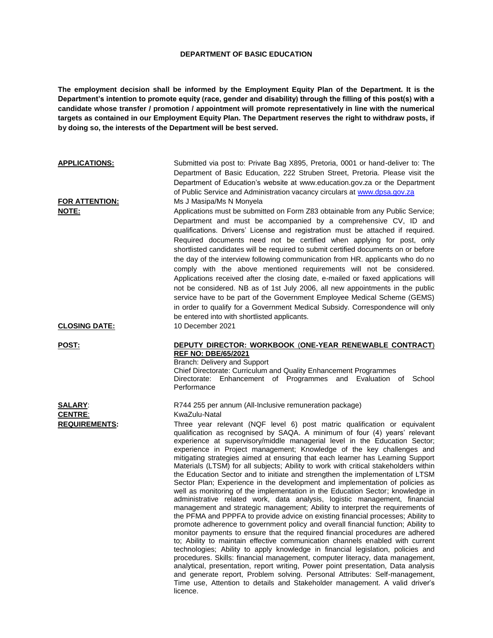## **DEPARTMENT OF BASIC EDUCATION**

**The employment decision shall be informed by the Employment Equity Plan of the Department. It is the Department's intention to promote equity (race, gender and disability) through the filling of this post(s) with a candidate whose transfer / promotion / appointment will promote representatively in line with the numerical targets as contained in our Employment Equity Plan. The Department reserves the right to withdraw posts, if by doing so, the interests of the Department will be best served.**

| <b>APPLICATIONS:</b><br><b>FOR ATTENTION:</b><br>NOTE:   | Submitted via post to: Private Bag X895, Pretoria, 0001 or hand-deliver to: The<br>Department of Basic Education, 222 Struben Street, Pretoria. Please visit the<br>Department of Education's website at www.education.gov.za or the Department<br>of Public Service and Administration vacancy circulars at www.dpsa.gov.za<br>Ms J Masipa/Ms N Monyela<br>Applications must be submitted on Form Z83 obtainable from any Public Service;<br>Department and must be accompanied by a comprehensive CV, ID and<br>qualifications. Drivers' License and registration must be attached if required.<br>Required documents need not be certified when applying for post, only<br>shortlisted candidates will be required to submit certified documents on or before<br>the day of the interview following communication from HR. applicants who do no<br>comply with the above mentioned requirements will not be considered.<br>Applications received after the closing date, e-mailed or faxed applications will<br>not be considered. NB as of 1st July 2006, all new appointments in the public<br>service have to be part of the Government Employee Medical Scheme (GEMS)<br>in order to qualify for a Government Medical Subsidy. Correspondence will only                                                                                                                                                                                                                                                                                                                                                                                                                                                                                                        |
|----------------------------------------------------------|-----------------------------------------------------------------------------------------------------------------------------------------------------------------------------------------------------------------------------------------------------------------------------------------------------------------------------------------------------------------------------------------------------------------------------------------------------------------------------------------------------------------------------------------------------------------------------------------------------------------------------------------------------------------------------------------------------------------------------------------------------------------------------------------------------------------------------------------------------------------------------------------------------------------------------------------------------------------------------------------------------------------------------------------------------------------------------------------------------------------------------------------------------------------------------------------------------------------------------------------------------------------------------------------------------------------------------------------------------------------------------------------------------------------------------------------------------------------------------------------------------------------------------------------------------------------------------------------------------------------------------------------------------------------------------------------------------------------------------------------------------------------------|
| <b>CLOSING DATE:</b>                                     | be entered into with shortlisted applicants.<br>10 December 2021                                                                                                                                                                                                                                                                                                                                                                                                                                                                                                                                                                                                                                                                                                                                                                                                                                                                                                                                                                                                                                                                                                                                                                                                                                                                                                                                                                                                                                                                                                                                                                                                                                                                                                      |
| POST:                                                    | <b>DEPUTY DIRECTOR: WORKBOOK (ONE-YEAR RENEWABLE CONTRACT)</b><br><b>REF NO: DBE/65/2021</b><br>Branch: Delivery and Support<br>Chief Directorate: Curriculum and Quality Enhancement Programmes<br>Directorate: Enhancement of Programmes and Evaluation of<br>School<br>Performance                                                                                                                                                                                                                                                                                                                                                                                                                                                                                                                                                                                                                                                                                                                                                                                                                                                                                                                                                                                                                                                                                                                                                                                                                                                                                                                                                                                                                                                                                 |
| <b>SALARY:</b><br><b>CENTRE:</b><br><b>REQUIREMENTS:</b> | R744 255 per annum (All-Inclusive remuneration package)<br>KwaZulu-Natal<br>Three year relevant (NQF level 6) post matric qualification or equivalent<br>qualification as recognised by SAQA. A minimum of four (4) years' relevant<br>experience at supervisory/middle managerial level in the Education Sector;<br>experience in Project management; Knowledge of the key challenges and<br>mitigating strategies aimed at ensuring that each learner has Learning Support<br>Materials (LTSM) for all subjects; Ability to work with critical stakeholders within<br>the Education Sector and to initiate and strengthen the implementation of LTSM<br>Sector Plan; Experience in the development and implementation of policies as<br>well as monitoring of the implementation in the Education Sector; knowledge in<br>administrative related work, data analysis, logistic management, financial<br>management and strategic management; Ability to interpret the requirements of<br>the PFMA and PPPFA to provide advice on existing financial processes; Ability to<br>promote adherence to government policy and overall financial function; Ability to<br>monitor payments to ensure that the required financial procedures are adhered<br>to; Ability to maintain effective communication channels enabled with current<br>technologies; Ability to apply knowledge in financial legislation, policies and<br>procedures. Skills: financial management, computer literacy, data management,<br>analytical, presentation, report writing, Power point presentation, Data analysis<br>and generate report, Problem solving. Personal Attributes: Self-management,<br>Time use, Attention to details and Stakeholder management. A valid driver's<br>licence. |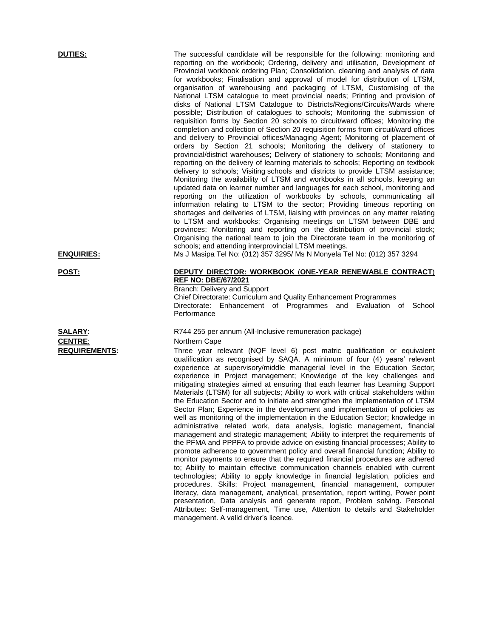**DUTIES:** The successful candidate will be responsible for the following: monitoring and reporting on the workbook; Ordering, delivery and utilisation, Development of Provincial workbook ordering Plan; Consolidation, cleaning and analysis of data for workbooks; Finalisation and approval of model for distribution of LTSM, organisation of warehousing and packaging of LTSM, Customising of the National LTSM catalogue to meet provincial needs; Printing and provision of disks of National LTSM Catalogue to Districts/Regions/Circuits/Wards where possible; Distribution of catalogues to schools; Monitoring the submission of requisition forms by Section 20 schools to circuit/ward offices; Monitoring the completion and collection of Section 20 requisition forms from circuit/ward offices and delivery to Provincial offices/Managing Agent; Monitoring of placement of orders by Section 21 schools; Monitoring the delivery of stationery to provincial/district warehouses; Delivery of stationery to schools; Monitoring and reporting on the delivery of learning materials to schools; Reporting on textbook delivery to schools; Visiting schools and districts to provide LTSM assistance; Monitoring the availability of LTSM and workbooks in all schools, keeping an updated data on learner number and languages for each school, monitoring and reporting on the utilization of workbooks by schools, communicating all information relating to LTSM to the sector; Providing timeous reporting on shortages and deliveries of LTSM, liaising with provinces on any matter relating to LTSM and workbooks; Organising meetings on LTSM between DBE and provinces; Monitoring and reporting on the distribution of provincial stock; Organising the national team to join the Directorate team in the monitoring of schools; and attending interprovincial LTSM meetings.

**ENQUIRIES:** Ms J Masipa Tel No: (012) 357 3295/ Ms N Monyela Tel No: (012) 357 3294

**CENTRE:** Northern Cape

**POST: DEPUTY DIRECTOR: WORKBOOK** (**ONE-YEAR RENEWABLE CONTRACT**) **REF NO: DBE/67/2021**

Branch: Delivery and Support Chief Directorate: Curriculum and Quality Enhancement Programmes

Directorate: Enhancement of Programmes and Evaluation of School **Performance** 

## **SALARY:** R744 255 per annum (All-Inclusive remuneration package)

**REQUIREMENTS:** Three year relevant (NQF level 6) post matric qualification or equivalent qualification as recognised by SAQA. A minimum of four (4) years' relevant experience at supervisory/middle managerial level in the Education Sector; experience in Project management; Knowledge of the key challenges and mitigating strategies aimed at ensuring that each learner has Learning Support Materials (LTSM) for all subjects; Ability to work with critical stakeholders within the Education Sector and to initiate and strengthen the implementation of LTSM Sector Plan; Experience in the development and implementation of policies as well as monitoring of the implementation in the Education Sector; knowledge in administrative related work, data analysis, logistic management, financial management and strategic management; Ability to interpret the requirements of the PFMA and PPPFA to provide advice on existing financial processes; Ability to promote adherence to government policy and overall financial function; Ability to monitor payments to ensure that the required financial procedures are adhered to; Ability to maintain effective communication channels enabled with current technologies; Ability to apply knowledge in financial legislation, policies and procedures. Skills: Project management, financial management, computer literacy, data management, analytical, presentation, report writing, Power point presentation, Data analysis and generate report, Problem solving. Personal Attributes: Self-management, Time use, Attention to details and Stakeholder management. A valid driver's licence.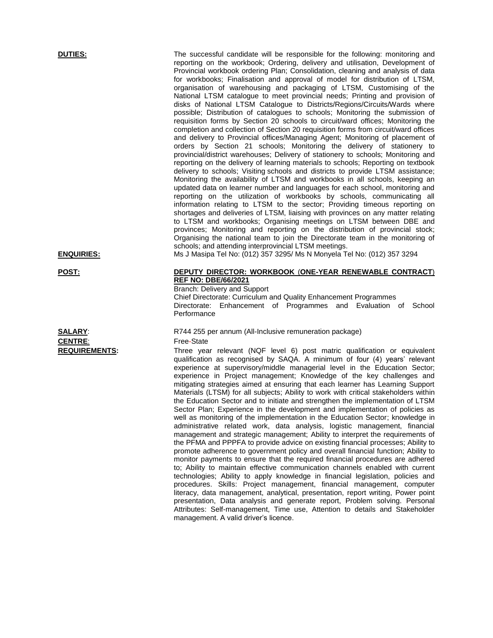**DUTIES:** The successful candidate will be responsible for the following: monitoring and reporting on the workbook; Ordering, delivery and utilisation, Development of Provincial workbook ordering Plan; Consolidation, cleaning and analysis of data for workbooks; Finalisation and approval of model for distribution of LTSM, organisation of warehousing and packaging of LTSM, Customising of the National LTSM catalogue to meet provincial needs; Printing and provision of disks of National LTSM Catalogue to Districts/Regions/Circuits/Wards where possible; Distribution of catalogues to schools; Monitoring the submission of requisition forms by Section 20 schools to circuit/ward offices; Monitoring the completion and collection of Section 20 requisition forms from circuit/ward offices and delivery to Provincial offices/Managing Agent; Monitoring of placement of orders by Section 21 schools; Monitoring the delivery of stationery to provincial/district warehouses; Delivery of stationery to schools; Monitoring and reporting on the delivery of learning materials to schools; Reporting on textbook delivery to schools; Visiting schools and districts to provide LTSM assistance; Monitoring the availability of LTSM and workbooks in all schools, keeping an updated data on learner number and languages for each school, monitoring and reporting on the utilization of workbooks by schools, communicating all information relating to LTSM to the sector; Providing timeous reporting on shortages and deliveries of LTSM, liaising with provinces on any matter relating to LTSM and workbooks; Organising meetings on LTSM between DBE and provinces; Monitoring and reporting on the distribution of provincial stock; Organising the national team to join the Directorate team in the monitoring of schools; and attending interprovincial LTSM meetings.

**ENQUIRIES:** Ms J Masipa Tel No: (012) 357 3295/ Ms N Monyela Tel No: (012) 357 3294

CENTRE: Free-State

**POST: DEPUTY DIRECTOR: WORKBOOK** (**ONE-YEAR RENEWABLE CONTRACT**) **REF NO: DBE/66/2021**

Branch: Delivery and Support Chief Directorate: Curriculum and Quality Enhancement Programmes

Directorate: Enhancement of Programmes and Evaluation of School **Performance** 

**SALARY:** R744 255 per annum (All-Inclusive remuneration package)

**REQUIREMENTS:** Three year relevant (NQF level 6) post matric qualification or equivalent qualification as recognised by SAQA. A minimum of four (4) years' relevant experience at supervisory/middle managerial level in the Education Sector; experience in Project management; Knowledge of the key challenges and mitigating strategies aimed at ensuring that each learner has Learning Support Materials (LTSM) for all subjects; Ability to work with critical stakeholders within the Education Sector and to initiate and strengthen the implementation of LTSM Sector Plan; Experience in the development and implementation of policies as well as monitoring of the implementation in the Education Sector; knowledge in administrative related work, data analysis, logistic management, financial management and strategic management; Ability to interpret the requirements of the PFMA and PPPFA to provide advice on existing financial processes; Ability to promote adherence to government policy and overall financial function; Ability to monitor payments to ensure that the required financial procedures are adhered to; Ability to maintain effective communication channels enabled with current technologies; Ability to apply knowledge in financial legislation, policies and procedures. Skills: Project management, financial management, computer literacy, data management, analytical, presentation, report writing, Power point presentation, Data analysis and generate report, Problem solving. Personal Attributes: Self-management, Time use, Attention to details and Stakeholder management. A valid driver's licence.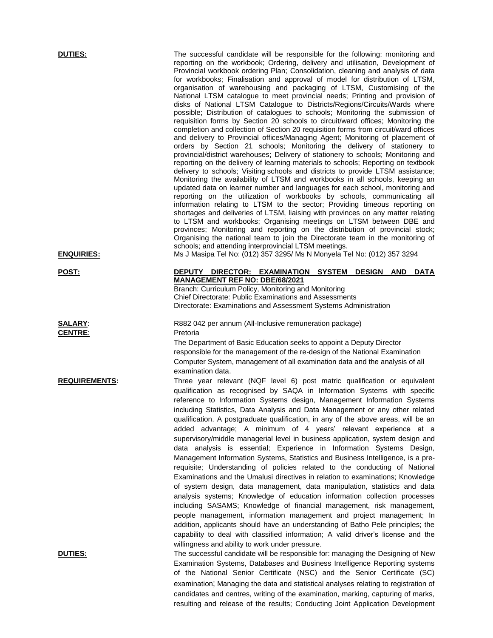| <b>DUTIES:</b><br><b>ENQUIRIES:</b> | The successful candidate will be responsible for the following: monitoring and<br>reporting on the workbook; Ordering, delivery and utilisation, Development of<br>Provincial workbook ordering Plan; Consolidation, cleaning and analysis of data<br>for workbooks; Finalisation and approval of model for distribution of LTSM,<br>organisation of warehousing and packaging of LTSM, Customising of the<br>National LTSM catalogue to meet provincial needs; Printing and provision of<br>disks of National LTSM Catalogue to Districts/Regions/Circuits/Wards where<br>possible; Distribution of catalogues to schools; Monitoring the submission of<br>requisition forms by Section 20 schools to circuit/ward offices; Monitoring the<br>completion and collection of Section 20 requisition forms from circuit/ward offices<br>and delivery to Provincial offices/Managing Agent; Monitoring of placement of<br>orders by Section 21 schools; Monitoring the delivery of stationery to<br>provincial/district warehouses; Delivery of stationery to schools; Monitoring and<br>reporting on the delivery of learning materials to schools; Reporting on textbook<br>delivery to schools; Visiting schools and districts to provide LTSM assistance;<br>Monitoring the availability of LTSM and workbooks in all schools, keeping an<br>updated data on learner number and languages for each school, monitoring and<br>reporting on the utilization of workbooks by schools, communicating all<br>information relating to LTSM to the sector; Providing timeous reporting on<br>shortages and deliveries of LTSM, liaising with provinces on any matter relating<br>to LTSM and workbooks; Organising meetings on LTSM between DBE and<br>provinces; Monitoring and reporting on the distribution of provincial stock;<br>Organising the national team to join the Directorate team in the monitoring of<br>schools; and attending interprovincial LTSM meetings.<br>Ms J Masipa Tel No: (012) 357 3295/ Ms N Monyela Tel No: (012) 357 3294 |
|-------------------------------------|-----------------------------------------------------------------------------------------------------------------------------------------------------------------------------------------------------------------------------------------------------------------------------------------------------------------------------------------------------------------------------------------------------------------------------------------------------------------------------------------------------------------------------------------------------------------------------------------------------------------------------------------------------------------------------------------------------------------------------------------------------------------------------------------------------------------------------------------------------------------------------------------------------------------------------------------------------------------------------------------------------------------------------------------------------------------------------------------------------------------------------------------------------------------------------------------------------------------------------------------------------------------------------------------------------------------------------------------------------------------------------------------------------------------------------------------------------------------------------------------------------------------------------------------------------------------------------------------------------------------------------------------------------------------------------------------------------------------------------------------------------------------------------------------------------------------------------------------------------------------------------------------------------------------------------------------------------------------------------------------------------------------------------------------------------|
| <u>POST:</u>                        | DEPUTY DIRECTOR: EXAMINATION SYSTEM<br><b>DESIGN AND</b><br><b>DATA</b>                                                                                                                                                                                                                                                                                                                                                                                                                                                                                                                                                                                                                                                                                                                                                                                                                                                                                                                                                                                                                                                                                                                                                                                                                                                                                                                                                                                                                                                                                                                                                                                                                                                                                                                                                                                                                                                                                                                                                                             |
|                                     | <b>MANAGEMENT REF NO: DBE/68/2021</b>                                                                                                                                                                                                                                                                                                                                                                                                                                                                                                                                                                                                                                                                                                                                                                                                                                                                                                                                                                                                                                                                                                                                                                                                                                                                                                                                                                                                                                                                                                                                                                                                                                                                                                                                                                                                                                                                                                                                                                                                               |
|                                     | Branch: Curriculum Policy, Monitoring and Monitoring<br><b>Chief Directorate: Public Examinations and Assessments</b><br>Directorate: Examinations and Assessment Systems Administration                                                                                                                                                                                                                                                                                                                                                                                                                                                                                                                                                                                                                                                                                                                                                                                                                                                                                                                                                                                                                                                                                                                                                                                                                                                                                                                                                                                                                                                                                                                                                                                                                                                                                                                                                                                                                                                            |
| <b>SALARY:</b><br><b>CENTRE:</b>    | R882 042 per annum (All-Inclusive remuneration package)<br>Pretoria                                                                                                                                                                                                                                                                                                                                                                                                                                                                                                                                                                                                                                                                                                                                                                                                                                                                                                                                                                                                                                                                                                                                                                                                                                                                                                                                                                                                                                                                                                                                                                                                                                                                                                                                                                                                                                                                                                                                                                                 |
|                                     | The Department of Basic Education seeks to appoint a Deputy Director<br>responsible for the management of the re-design of the National Examination<br>Computer System, management of all examination data and the analysis of all                                                                                                                                                                                                                                                                                                                                                                                                                                                                                                                                                                                                                                                                                                                                                                                                                                                                                                                                                                                                                                                                                                                                                                                                                                                                                                                                                                                                                                                                                                                                                                                                                                                                                                                                                                                                                  |
| <b>REQUIREMENTS:</b>                | examination data.<br>Three year relevant (NQF level 6) post matric qualification or equivalent<br>qualification as recognised by SAQA in Information Systems with specific<br>reference to Information Systems design, Management Information Systems<br>including Statistics, Data Analysis and Data Management or any other related<br>qualification. A postgraduate qualification, in any of the above areas, will be an<br>added advantage; A minimum of 4 years' relevant experience at a<br>supervisory/middle managerial level in business application, system design and<br>data analysis is essential; Experience in Information Systems Design,<br>Management Information Systems, Statistics and Business Intelligence, is a pre-<br>requisite; Understanding of policies related to the conducting of National<br>Examinations and the Umalusi directives in relation to examinations; Knowledge<br>of system design, data management, data manipulation, statistics and data<br>analysis systems; Knowledge of education information collection processes<br>including SASAMS; Knowledge of financial management, risk management,<br>people management, information management and project management; In<br>addition, applicants should have an understanding of Batho Pele principles; the<br>capability to deal with classified information; A valid driver's license and the                                                                                                                                                                                                                                                                                                                                                                                                                                                                                                                                                                                                                                                      |
| <u>DUTIES:</u>                      | willingness and ability to work under pressure.<br>The successful candidate will be responsible for: managing the Designing of New<br>Examination Systems, Databases and Business Intelligence Reporting systems<br>of the National Senior Certificate (NSC) and the Senior Certificate (SC)<br>examination; Managing the data and statistical analyses relating to registration of<br>candidates and centres, writing of the examination, marking, capturing of marks,                                                                                                                                                                                                                                                                                                                                                                                                                                                                                                                                                                                                                                                                                                                                                                                                                                                                                                                                                                                                                                                                                                                                                                                                                                                                                                                                                                                                                                                                                                                                                                             |

resulting and release of the results; Conducting Joint Application Development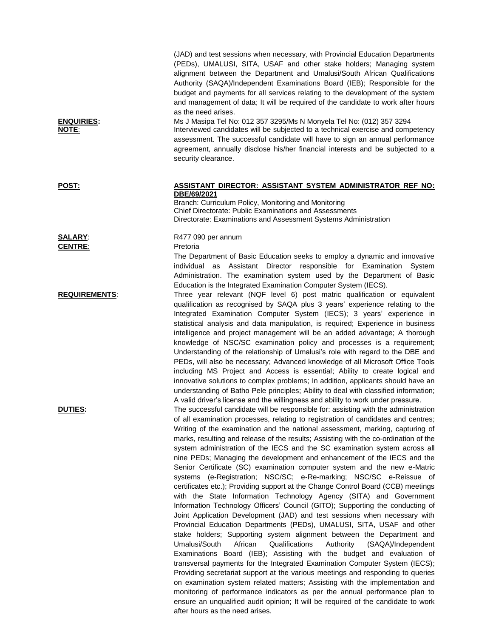| <b>ENQUIRIES:</b><br>NOTE: | (JAD) and test sessions when necessary, with Provincial Education Departments<br>(PEDs), UMALUSI, SITA, USAF and other stake holders; Managing system<br>alignment between the Department and Umalusi/South African Qualifications<br>Authority (SAQA)/Independent Examinations Board (IEB); Responsible for the<br>budget and payments for all services relating to the development of the system<br>and management of data; It will be required of the candidate to work after hours<br>as the need arises.<br>Ms J Masipa Tel No: 012 357 3295/Ms N Monyela Tel No: (012) 357 3294<br>Interviewed candidates will be subjected to a technical exercise and competency<br>assessment. The successful candidate will have to sign an annual performance<br>agreement, annually disclose his/her financial interests and be subjected to a<br>security clearance.                                                                                                                                                                                                                                                                                                                                                                                                                                                                                                                                                                                                                                                                                                                                                                                                                                                                                         |
|----------------------------|-----------------------------------------------------------------------------------------------------------------------------------------------------------------------------------------------------------------------------------------------------------------------------------------------------------------------------------------------------------------------------------------------------------------------------------------------------------------------------------------------------------------------------------------------------------------------------------------------------------------------------------------------------------------------------------------------------------------------------------------------------------------------------------------------------------------------------------------------------------------------------------------------------------------------------------------------------------------------------------------------------------------------------------------------------------------------------------------------------------------------------------------------------------------------------------------------------------------------------------------------------------------------------------------------------------------------------------------------------------------------------------------------------------------------------------------------------------------------------------------------------------------------------------------------------------------------------------------------------------------------------------------------------------------------------------------------------------------------------------------------------------|
| <b>POST:</b>               | ASSISTANT DIRECTOR: ASSISTANT SYSTEM ADMINISTRATOR REF NO:<br>DBE/69/2021<br>Branch: Curriculum Policy, Monitoring and Monitoring<br><b>Chief Directorate: Public Examinations and Assessments</b><br>Directorate: Examinations and Assessment Systems Administration                                                                                                                                                                                                                                                                                                                                                                                                                                                                                                                                                                                                                                                                                                                                                                                                                                                                                                                                                                                                                                                                                                                                                                                                                                                                                                                                                                                                                                                                                     |
| <b>SALARY:</b>             | R477 090 per annum                                                                                                                                                                                                                                                                                                                                                                                                                                                                                                                                                                                                                                                                                                                                                                                                                                                                                                                                                                                                                                                                                                                                                                                                                                                                                                                                                                                                                                                                                                                                                                                                                                                                                                                                        |
| <b>CENTRE:</b>             | Pretoria<br>The Department of Basic Education seeks to employ a dynamic and innovative<br>individual as Assistant Director responsible for Examination<br>System<br>Administration. The examination system used by the Department of Basic<br>Education is the Integrated Examination Computer System (IECS).                                                                                                                                                                                                                                                                                                                                                                                                                                                                                                                                                                                                                                                                                                                                                                                                                                                                                                                                                                                                                                                                                                                                                                                                                                                                                                                                                                                                                                             |
| <b>REQUIREMENTS:</b>       | Three year relevant (NQF level 6) post matric qualification or equivalent<br>qualification as recognised by SAQA plus 3 years' experience relating to the<br>Integrated Examination Computer System (IECS); 3 years' experience in<br>statistical analysis and data manipulation, is required; Experience in business<br>intelligence and project management will be an added advantage; A thorough<br>knowledge of NSC/SC examination policy and processes is a requirement;<br>Understanding of the relationship of Umalusi's role with regard to the DBE and<br>PEDs, will also be necessary; Advanced knowledge of all Microsoft Office Tools<br>including MS Project and Access is essential; Ability to create logical and<br>innovative solutions to complex problems; In addition, applicants should have an<br>understanding of Batho Pele principles; Ability to deal with classified information;<br>A valid driver's license and the willingness and ability to work under pressure.                                                                                                                                                                                                                                                                                                                                                                                                                                                                                                                                                                                                                                                                                                                                                          |
| <b>DUTIES:</b>             | The successful candidate will be responsible for: assisting with the administration<br>of all examination processes, relating to registration of candidates and centres;<br>Writing of the examination and the national assessment, marking, capturing of<br>marks, resulting and release of the results; Assisting with the co-ordination of the<br>system administration of the IECS and the SC examination system across all<br>nine PEDs; Managing the development and enhancement of the IECS and the<br>Senior Certificate (SC) examination computer system and the new e-Matric<br>systems (e-Registration; NSC/SC; e-Re-marking; NSC/SC e-Reissue of<br>certificates etc.); Providing support at the Change Control Board (CCB) meetings<br>with the State Information Technology Agency (SITA) and Government<br>Information Technology Officers' Council (GITO); Supporting the conducting of<br>Joint Application Development (JAD) and test sessions when necessary with<br>Provincial Education Departments (PEDs), UMALUSI, SITA, USAF and other<br>stake holders; Supporting system alignment between the Department and<br>African<br>Authority<br>Umalusi/South<br>Qualifications<br>(SAQA)/Independent<br>Examinations Board (IEB); Assisting with the budget and evaluation of<br>transversal payments for the Integrated Examination Computer System (IECS);<br>Providing secretariat support at the various meetings and responding to queries<br>on examination system related matters; Assisting with the implementation and<br>monitoring of performance indicators as per the annual performance plan to<br>ensure an unqualified audit opinion; It will be required of the candidate to work<br>after hours as the need arises. |